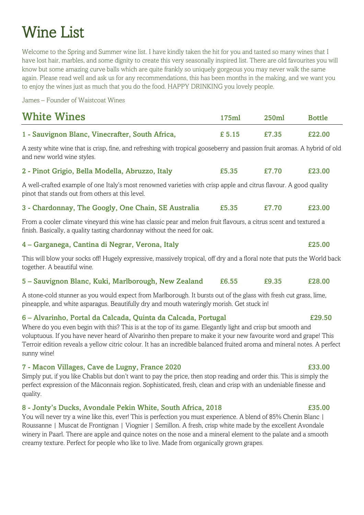# Wine List

Welcome to the Spring and Summer wine list. I have kindly taken the hit for you and tasted so many wines that I have lost hair, marbles, and some dignity to create this very seasonally inspired list. There are old favourites you will know but some amazing curve balls which are quite frankly so uniquely gorgeous you may never walk the same again. Please read well and ask us for any recommendations, this has been months in the making, and we want you to enjoy the wines just as much that you do the food. HAPPY DRINKING you lovely people.

James – Founder of Waistcoat Wines

| <b>White Wines</b>                                                                                                                                                                                                                                                                                                                                                                                                                          | 175ml  | 250ml | <b>Bottle</b> |  |
|---------------------------------------------------------------------------------------------------------------------------------------------------------------------------------------------------------------------------------------------------------------------------------------------------------------------------------------------------------------------------------------------------------------------------------------------|--------|-------|---------------|--|
| 1 - Sauvignon Blanc, Vinecrafter, South Africa,                                                                                                                                                                                                                                                                                                                                                                                             | £ 5.15 | £7.35 | £22.00        |  |
| A zesty white wine that is crisp, fine, and refreshing with tropical gooseberry and passion fruit aromas. A hybrid of old<br>and new world wine styles.                                                                                                                                                                                                                                                                                     |        |       |               |  |
| 2 - Pinot Grigio, Bella Modella, Abruzzo, Italy                                                                                                                                                                                                                                                                                                                                                                                             | £5.35  | £7.70 | £23.00        |  |
| A well-crafted example of one Italy's most renowned varieties with crisp apple and citrus flavour. A good quality<br>pinot that stands out from others at this level.                                                                                                                                                                                                                                                                       |        |       |               |  |
| 3 - Chardonnay, The Googly, One Chain, SE Australia                                                                                                                                                                                                                                                                                                                                                                                         | £5.35  | £7.70 | £23.00        |  |
| From a cooler climate vineyard this wine has classic pear and melon fruit flavours, a citrus scent and textured a<br>finish. Basically, a quality tasting chardonnay without the need for oak.                                                                                                                                                                                                                                              |        |       |               |  |
| 4 - Garganega, Cantina di Negrar, Verona, Italy                                                                                                                                                                                                                                                                                                                                                                                             |        |       | £25.00        |  |
| This will blow your socks off! Hugely expressive, massively tropical, off dry and a floral note that puts the World back<br>together. A beautiful wine.                                                                                                                                                                                                                                                                                     |        |       |               |  |
| 5 - Sauvignon Blanc, Kuki, Marlborough, New Zealand                                                                                                                                                                                                                                                                                                                                                                                         | £6.55  | £9.35 | £28.00        |  |
| A stone-cold stunner as you would expect from Marlborough. It bursts out of the glass with fresh cut grass, lime,<br>pineapple, and white asparagus. Beautifully dry and mouth wateringly morish. Get stuck in!                                                                                                                                                                                                                             |        |       |               |  |
| 6 – Alvarinho, Portal da Calcada, Quinta da Calcada, Portugal<br>Where do you even begin with this? This is at the top of its game. Elegantly light and crisp but smooth and<br>voluptuous. If you have never heard of Alvarinho then prepare to make it your new favourite word and grape! This<br>Terroir edition reveals a yellow citric colour. It has an incredible balanced fruited aroma and mineral notes. A perfect<br>sunny wine! |        |       | £29.50        |  |
| 7 - Macon Villages, Cave de Lugny, France 2020<br>Simply put, if you like Chablis but don't want to pay the price, then stop reading and order this. This is simply the<br>perfect expression of the Mâconnais region. Sophisticated, fresh, clean and crisp with an undeniable finesse and<br>quality.                                                                                                                                     |        |       | £33.00        |  |

8 - Jonty's Ducks, Avondale Pekin White, South Africa, 2018 £35.00

You will never try a wine like this, ever! This is perfection you must experience. A blend of 85% Chenin Blanc | Roussanne | Muscat de Frontignan | Viognier | Semillon. A fresh, crisp white made by the excellent Avondale winery in Paarl. There are apple and quince notes on the nose and a mineral element to the palate and a smooth creamy texture. Perfect for people who like to live. Made from organically grown grapes.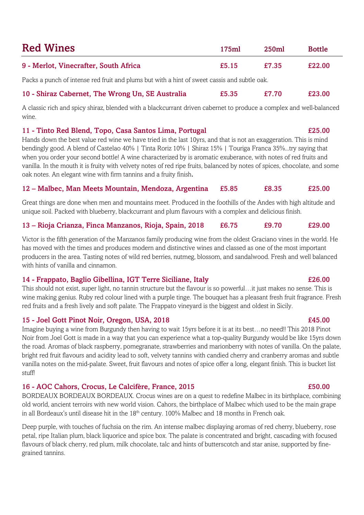| <b>Red Wines</b>                      | 175ml | 250ml | <b>Bottle</b> |
|---------------------------------------|-------|-------|---------------|
| 9 - Merlot, Vinecrafter, South Africa | £5.15 | £7.35 | £22.00        |

Packs a punch of intense red fruit and plums but with a hint of sweet cassis and subtle oak.

# 10 - Shiraz Cabernet, The Wrong Un, SE Australia £5.35 £7.70 £23.00

A classic rich and spicy shiraz, blended with a blackcurrant driven cabernet to produce a complex and well-balanced wine.

# 11 - Tinto Red Blend, Topo, Casa Santos Lima, Portugal £25.00

Hands down the best value red wine we have tried in the last 10yrs, and that is not an exaggeration. This is mind bendingly good. A blend of Castelao 40% | Tinta Roriz 10% | Shiraz 15% | Touriga Franca 35%...try saying that when you order your second bottle! A wine characterized by is aromatic exuberance, with notes of red fruits and vanilla. In the mouth it is fruity with velvety notes of red ripe fruits, balanced by notes of spices, chocolate, and some oak notes. An elegant wine with firm tannins and a fruity finish.

# 12 – Malbec, Man Meets Mountain, Mendoza, Argentina £5.85 £8.35 £25.00

Great things are done when men and mountains meet. Produced in the foothills of the Andes with high altitude and unique soil. Packed with blueberry, blackcurrant and plum flavours with a complex and delicious finish.

# 13 – Rioja Crianza, Finca Manzanos, Rioja, Spain, 2018 £6.75 £9.70 £29.00

Victor is the fifth generation of the Manzanos family producing wine from the oldest Graciano vines in the world. He has moved with the times and produces modern and distinctive wines and classed as one of the most important producers in the area. Tasting notes of wild red berries, nutmeg, blossom, and sandalwood. Fresh and well balanced with hints of vanilla and cinnamon.

# 14 - Frappato, Baglio Gibellina, IGT Terre Siciliane, Italy £26.00

This should not exist, super light, no tannin structure but the flavour is so powerful…it just makes no sense. This is wine making genius. Ruby red colour lined with a purple tinge. The bouquet has a pleasant fresh fruit fragrance. Fresh red fruits and a fresh lively and soft palate. The Frappato vineyard is the biggest and oldest in Sicily.

# 15 - Joel Gott Pinot Noir, Oregon, USA, 2018 £45.00

Imagine buying a wine from Burgundy then having to wait 15yrs before it is at its best…no need!! This 2018 Pinot Noir from Joel Gott is made in a way that you can experience what a top-quality Burgundy would be like 15yrs down the road. Aromas of black raspberry, pomegranate, strawberries and marionberry with notes of vanilla. On the palate, bright red fruit flavours and acidity lead to soft, velvety tannins with candied cherry and cranberry aromas and subtle vanilla notes on the mid-palate. Sweet, fruit flavours and notes of spice offer a long, elegant finish. This is bucket list stuff!

# 16 - AOC Cahors, Crocus, Le Calcifère, France, 2015 £50.00

BORDEAUX BORDEAUX BORDEAUX. Crocus wines are on a quest to redefine Malbec in its birthplace, combining old world, ancient terroirs with new world vision. Cahors, the birthplace of Malbec which used to be the main grape in all Bordeaux's until disease hit in the  $18<sup>th</sup>$  century. 100% Malbec and 18 months in French oak.

Deep purple, with touches of fuchsia on the rim. An intense malbec displaying aromas of red cherry, blueberry, rose petal, ripe Italian plum, black liquorice and spice box. The palate is concentrated and bright, cascading with focused flavours of black cherry, red plum, milk chocolate, talc and hints of butterscotch and star anise, supported by finegrained tannins.